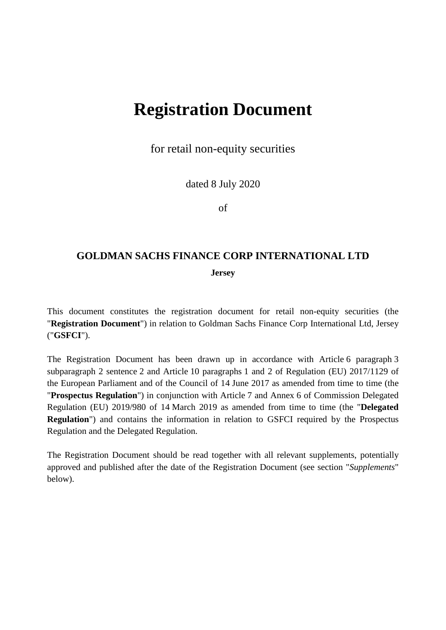## **Registration Document**

for retail non-equity securities

dated 8 July 2020

of

# **GOLDMAN SACHS FINANCE CORP INTERNATIONAL LTD**

**Jersey** 

This document constitutes the registration document for retail non-equity securities (the "**Registration Document**") in relation to Goldman Sachs Finance Corp International Ltd, Jersey ("**GSFCI**").

The Registration Document has been drawn up in accordance with Article 6 paragraph 3 subparagraph 2 sentence 2 and Article 10 paragraphs 1 and 2 of Regulation (EU) 2017/1129 of the European Parliament and of the Council of 14 June 2017 as amended from time to time (the "**Prospectus Regulation**") in conjunction with Article 7 and Annex 6 of Commission Delegated Regulation (EU) 2019/980 of 14 March 2019 as amended from time to time (the "**Delegated Regulation**") and contains the information in relation to GSFCI required by the Prospectus Regulation and the Delegated Regulation.

The Registration Document should be read together with all relevant supplements, potentially approved and published after the date of the Registration Document (see section "*Supplements*" below).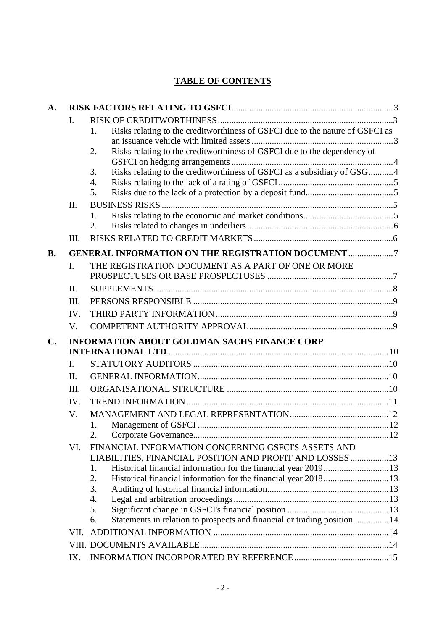## **TABLE OF CONTENTS**

| $\mathbf{A}$ . |                |                                                                                     |  |  |  |
|----------------|----------------|-------------------------------------------------------------------------------------|--|--|--|
|                | I.             |                                                                                     |  |  |  |
|                |                | Risks relating to the creditworthiness of GSFCI due to the nature of GSFCI as<br>1. |  |  |  |
|                |                |                                                                                     |  |  |  |
|                |                | Risks relating to the creditworthiness of GSFCI due to the dependency of<br>2.      |  |  |  |
|                |                | Risks relating to the creditworthiness of GSFCI as a subsidiary of GSG4<br>3.       |  |  |  |
|                |                | 4.                                                                                  |  |  |  |
|                |                | 5.                                                                                  |  |  |  |
|                | Π.             |                                                                                     |  |  |  |
|                |                | 1.                                                                                  |  |  |  |
|                |                | 2.                                                                                  |  |  |  |
|                | III.           |                                                                                     |  |  |  |
| <b>B.</b>      |                | <b>GENERAL INFORMATION ON THE REGISTRATION DOCUMENT 7</b>                           |  |  |  |
|                | I.             | THE REGISTRATION DOCUMENT AS A PART OF ONE OR MORE                                  |  |  |  |
|                |                |                                                                                     |  |  |  |
|                | II.            |                                                                                     |  |  |  |
|                | III.           |                                                                                     |  |  |  |
|                | IV.            |                                                                                     |  |  |  |
|                | V.             |                                                                                     |  |  |  |
| $\mathbf{C}$ . |                | <b>INFORMATION ABOUT GOLDMAN SACHS FINANCE CORP</b>                                 |  |  |  |
|                |                |                                                                                     |  |  |  |
|                | $\mathbf{I}$ . |                                                                                     |  |  |  |
|                | II.            |                                                                                     |  |  |  |
|                | III.           |                                                                                     |  |  |  |
|                | IV.            |                                                                                     |  |  |  |
|                | V.             |                                                                                     |  |  |  |
|                |                | 1.                                                                                  |  |  |  |
|                |                |                                                                                     |  |  |  |
|                | VI.            | FINANCIAL INFORMATION CONCERNING GSFCI'S ASSETS AND                                 |  |  |  |
|                |                | LIABILITIES, FINANCIAL POSITION AND PROFIT AND LOSSES 13                            |  |  |  |
|                |                | 1.                                                                                  |  |  |  |
|                |                | Historical financial information for the financial year 2018 13<br>2.               |  |  |  |
|                |                | 3.                                                                                  |  |  |  |
|                |                | 4.                                                                                  |  |  |  |
|                |                | 5.                                                                                  |  |  |  |
|                |                | Statements in relation to prospects and financial or trading position  14<br>6.     |  |  |  |
|                | VII.           |                                                                                     |  |  |  |
|                |                |                                                                                     |  |  |  |
|                | IX.            |                                                                                     |  |  |  |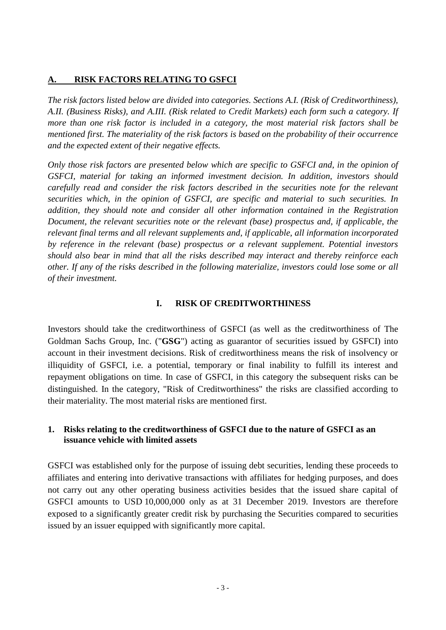## <span id="page-2-0"></span>**A. RISK FACTORS RELATING TO GSFCI**

*The risk factors listed below are divided into categories. Sections A.I. (Risk of Creditworthiness), A.II. (Business Risks), and A.III. (Risk related to Credit Markets) each form such a category. If more than one risk factor is included in a category, the most material risk factors shall be mentioned first. The materiality of the risk factors is based on the probability of their occurrence and the expected extent of their negative effects.* 

*Only those risk factors are presented below which are specific to GSFCI and, in the opinion of GSFCI, material for taking an informed investment decision. In addition, investors should carefully read and consider the risk factors described in the securities note for the relevant securities which, in the opinion of GSFCI, are specific and material to such securities. In addition, they should note and consider all other information contained in the Registration Document, the relevant securities note or the relevant (base) prospectus and, if applicable, the relevant final terms and all relevant supplements and, if applicable, all information incorporated by reference in the relevant (base) prospectus or a relevant supplement. Potential investors should also bear in mind that all the risks described may interact and thereby reinforce each other. If any of the risks described in the following materialize, investors could lose some or all of their investment.* 

#### <span id="page-2-1"></span>**I. RISK OF CREDITWORTHINESS**

Investors should take the creditworthiness of GSFCI (as well as the creditworthiness of The Goldman Sachs Group, Inc. ("**GSG**") acting as guarantor of securities issued by GSFCI) into account in their investment decisions. Risk of creditworthiness means the risk of insolvency or illiquidity of GSFCI, i.e. a potential, temporary or final inability to fulfill its interest and repayment obligations on time. In case of GSFCI, in this category the subsequent risks can be distinguished. In the category, "Risk of Creditworthiness" the risks are classified according to their materiality. The most material risks are mentioned first.

## <span id="page-2-2"></span>**1. Risks relating to the creditworthiness of GSFCI due to the nature of GSFCI as an issuance vehicle with limited assets**

GSFCI was established only for the purpose of issuing debt securities, lending these proceeds to affiliates and entering into derivative transactions with affiliates for hedging purposes, and does not carry out any other operating business activities besides that the issued share capital of GSFCI amounts to USD 10,000,000 only as at 31 December 2019. Investors are therefore exposed to a significantly greater credit risk by purchasing the Securities compared to securities issued by an issuer equipped with significantly more capital.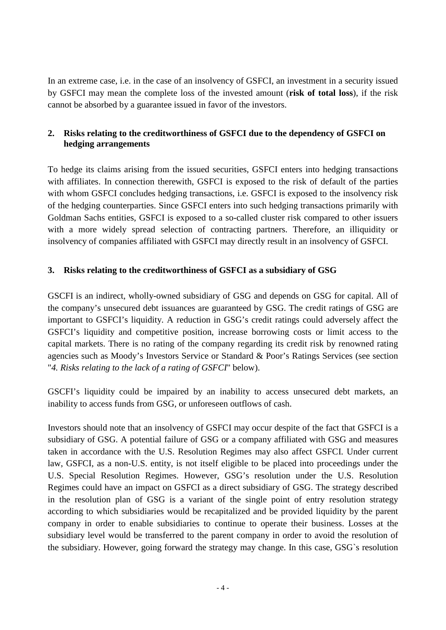In an extreme case, i.e. in the case of an insolvency of GSFCI, an investment in a security issued by GSFCI may mean the complete loss of the invested amount (**risk of total loss**), if the risk cannot be absorbed by a guarantee issued in favor of the investors.

## <span id="page-3-0"></span>**2. Risks relating to the creditworthiness of GSFCI due to the dependency of GSFCI on hedging arrangements**

To hedge its claims arising from the issued securities, GSFCI enters into hedging transactions with affiliates. In connection therewith, GSFCI is exposed to the risk of default of the parties with whom GSFCI concludes hedging transactions, i.e. GSFCI is exposed to the insolvency risk of the hedging counterparties. Since GSFCI enters into such hedging transactions primarily with Goldman Sachs entities, GSFCI is exposed to a so-called cluster risk compared to other issuers with a more widely spread selection of contracting partners. Therefore, an illiquidity or insolvency of companies affiliated with GSFCI may directly result in an insolvency of GSFCI.

## <span id="page-3-1"></span>**3. Risks relating to the creditworthiness of GSFCI as a subsidiary of GSG**

GSCFI is an indirect, wholly-owned subsidiary of GSG and depends on GSG for capital. All of the company's unsecured debt issuances are guaranteed by GSG. The credit ratings of GSG are important to GSFCI's liquidity. A reduction in GSG's credit ratings could adversely affect the GSFCI's liquidity and competitive position, increase borrowing costs or limit access to the capital markets. There is no rating of the company regarding its credit risk by renowned rating agencies such as Moody's Investors Service or Standard & Poor's Ratings Services (see section "*4. Risks relating to the lack of a rating of GSFCI*" below).

GSCFI's liquidity could be impaired by an inability to access unsecured debt markets, an inability to access funds from GSG, or unforeseen outflows of cash.

Investors should note that an insolvency of GSFCI may occur despite of the fact that GSFCI is a subsidiary of GSG. A potential failure of GSG or a company affiliated with GSG and measures taken in accordance with the U.S. Resolution Regimes may also affect GSFCI. Under current law, GSFCI, as a non-U.S. entity, is not itself eligible to be placed into proceedings under the U.S. Special Resolution Regimes. However, GSG's resolution under the U.S. Resolution Regimes could have an impact on GSFCI as a direct subsidiary of GSG. The strategy described in the resolution plan of GSG is a variant of the single point of entry resolution strategy according to which subsidiaries would be recapitalized and be provided liquidity by the parent company in order to enable subsidiaries to continue to operate their business. Losses at the subsidiary level would be transferred to the parent company in order to avoid the resolution of the subsidiary. However, going forward the strategy may change. In this case, GSG`s resolution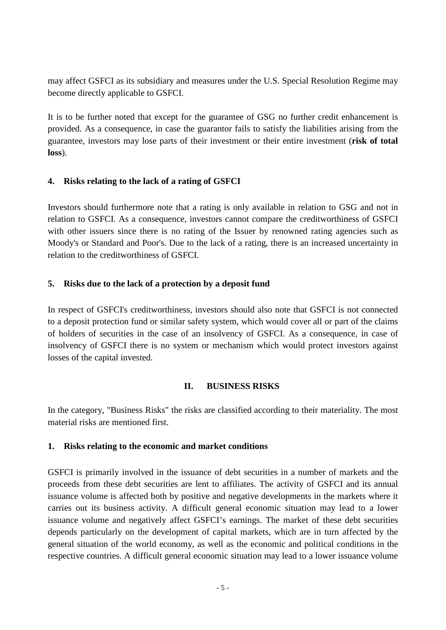may affect GSFCI as its subsidiary and measures under the U.S. Special Resolution Regime may become directly applicable to GSFCI.

It is to be further noted that except for the guarantee of GSG no further credit enhancement is provided. As a consequence, in case the guarantor fails to satisfy the liabilities arising from the guarantee, investors may lose parts of their investment or their entire investment (**risk of total loss**).

## <span id="page-4-0"></span>**4. Risks relating to the lack of a rating of GSFCI**

Investors should furthermore note that a rating is only available in relation to GSG and not in relation to GSFCI. As a consequence, investors cannot compare the creditworthiness of GSFCI with other issuers since there is no rating of the Issuer by renowned rating agencies such as Moody's or Standard and Poor's. Due to the lack of a rating, there is an increased uncertainty in relation to the creditworthiness of GSFCI.

## <span id="page-4-1"></span>**5. Risks due to the lack of a protection by a deposit fund**

In respect of GSFCI's creditworthiness, investors should also note that GSFCI is not connected to a deposit protection fund or similar safety system, which would cover all or part of the claims of holders of securities in the case of an insolvency of GSFCI. As a consequence, in case of insolvency of GSFCI there is no system or mechanism which would protect investors against losses of the capital invested.

## <span id="page-4-2"></span>**II. BUSINESS RISKS**

In the category, "Business Risks" the risks are classified according to their materiality. The most material risks are mentioned first.

## <span id="page-4-3"></span>**1. Risks relating to the economic and market conditions**

GSFCI is primarily involved in the issuance of debt securities in a number of markets and the proceeds from these debt securities are lent to affiliates. The activity of GSFCI and its annual issuance volume is affected both by positive and negative developments in the markets where it carries out its business activity. A difficult general economic situation may lead to a lower issuance volume and negatively affect GSFCI's earnings. The market of these debt securities depends particularly on the development of capital markets, which are in turn affected by the general situation of the world economy, as well as the economic and political conditions in the respective countries. A difficult general economic situation may lead to a lower issuance volume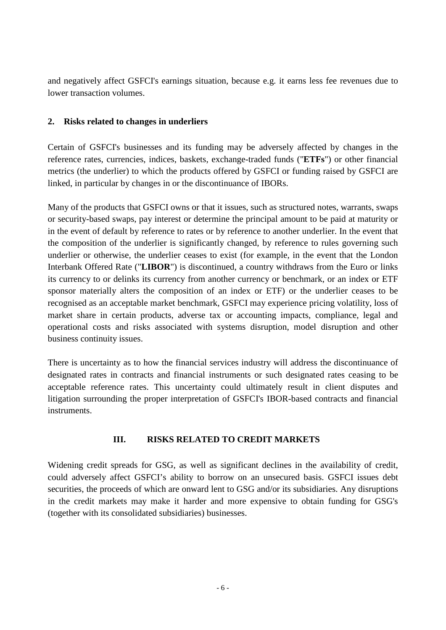and negatively affect GSFCI's earnings situation, because e.g. it earns less fee revenues due to lower transaction volumes.

## <span id="page-5-0"></span>**2. Risks related to changes in underliers**

Certain of GSFCI's businesses and its funding may be adversely affected by changes in the reference rates, currencies, indices, baskets, exchange-traded funds ("**ETFs**") or other financial metrics (the underlier) to which the products offered by GSFCI or funding raised by GSFCI are linked, in particular by changes in or the discontinuance of IBORs.

Many of the products that GSFCI owns or that it issues, such as structured notes, warrants, swaps or security-based swaps, pay interest or determine the principal amount to be paid at maturity or in the event of default by reference to rates or by reference to another underlier. In the event that the composition of the underlier is significantly changed, by reference to rules governing such underlier or otherwise, the underlier ceases to exist (for example, in the event that the London Interbank Offered Rate ("**LIBOR**") is discontinued, a country withdraws from the Euro or links its currency to or delinks its currency from another currency or benchmark, or an index or ETF sponsor materially alters the composition of an index or ETF) or the underlier ceases to be recognised as an acceptable market benchmark, GSFCI may experience pricing volatility, loss of market share in certain products, adverse tax or accounting impacts, compliance, legal and operational costs and risks associated with systems disruption, model disruption and other business continuity issues.

There is uncertainty as to how the financial services industry will address the discontinuance of designated rates in contracts and financial instruments or such designated rates ceasing to be acceptable reference rates. This uncertainty could ultimately result in client disputes and litigation surrounding the proper interpretation of GSFCI's IBOR-based contracts and financial instruments.

## <span id="page-5-1"></span>**III. RISKS RELATED TO CREDIT MARKETS**

Widening credit spreads for GSG, as well as significant declines in the availability of credit, could adversely affect GSFCI's ability to borrow on an unsecured basis. GSFCI issues debt securities, the proceeds of which are onward lent to GSG and/or its subsidiaries. Any disruptions in the credit markets may make it harder and more expensive to obtain funding for GSG's (together with its consolidated subsidiaries) businesses.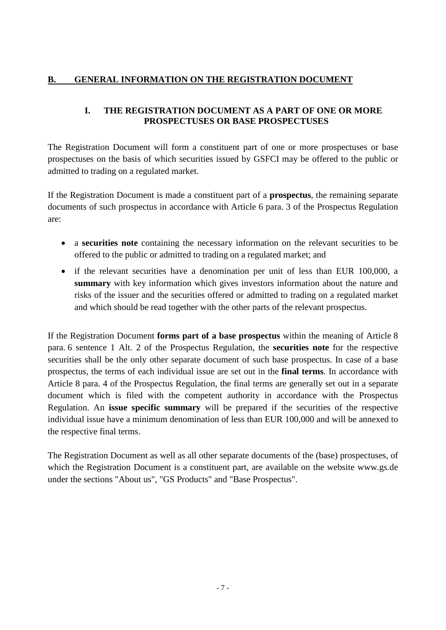## <span id="page-6-0"></span>**B. GENERAL INFORMATION ON THE REGISTRATION DOCUMENT**

## <span id="page-6-1"></span>**I. THE REGISTRATION DOCUMENT AS A PART OF ONE OR MORE PROSPECTUSES OR BASE PROSPECTUSES**

The Registration Document will form a constituent part of one or more prospectuses or base prospectuses on the basis of which securities issued by GSFCI may be offered to the public or admitted to trading on a regulated market.

If the Registration Document is made a constituent part of a **prospectus**, the remaining separate documents of such prospectus in accordance with Article 6 para. 3 of the Prospectus Regulation are:

- a **securities note** containing the necessary information on the relevant securities to be offered to the public or admitted to trading on a regulated market; and
- if the relevant securities have a denomination per unit of less than EUR 100,000, a **summary** with key information which gives investors information about the nature and risks of the issuer and the securities offered or admitted to trading on a regulated market and which should be read together with the other parts of the relevant prospectus.

If the Registration Document **forms part of a base prospectus** within the meaning of Article 8 para. 6 sentence 1 Alt. 2 of the Prospectus Regulation, the **securities note** for the respective securities shall be the only other separate document of such base prospectus. In case of a base prospectus, the terms of each individual issue are set out in the **final terms**. In accordance with Article 8 para. 4 of the Prospectus Regulation, the final terms are generally set out in a separate document which is filed with the competent authority in accordance with the Prospectus Regulation. An **issue specific summary** will be prepared if the securities of the respective individual issue have a minimum denomination of less than EUR 100,000 and will be annexed to the respective final terms.

The Registration Document as well as all other separate documents of the (base) prospectuses, of which the Registration Document is a constituent part, are available on the website www.gs.de under the sections "About us", "GS Products" and "Base Prospectus".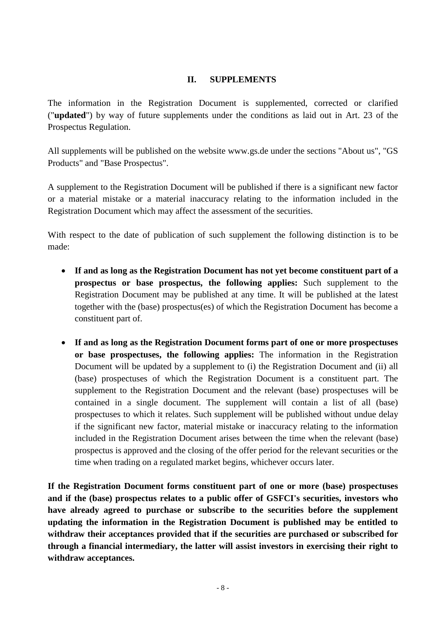## <span id="page-7-0"></span>**II. SUPPLEMENTS**

The information in the Registration Document is supplemented, corrected or clarified ("**updated**") by way of future supplements under the conditions as laid out in Art. 23 of the Prospectus Regulation.

All supplements will be published on the website www.gs.de under the sections "About us", "GS Products" and "Base Prospectus".

A supplement to the Registration Document will be published if there is a significant new factor or a material mistake or a material inaccuracy relating to the information included in the Registration Document which may affect the assessment of the securities.

With respect to the date of publication of such supplement the following distinction is to be made:

- **If and as long as the Registration Document has not yet become constituent part of a prospectus or base prospectus, the following applies:** Such supplement to the Registration Document may be published at any time. It will be published at the latest together with the (base) prospectus(es) of which the Registration Document has become a constituent part of.
- **If and as long as the Registration Document forms part of one or more prospectuses or base prospectuses, the following applies:** The information in the Registration Document will be updated by a supplement to (i) the Registration Document and (ii) all (base) prospectuses of which the Registration Document is a constituent part. The supplement to the Registration Document and the relevant (base) prospectuses will be contained in a single document. The supplement will contain a list of all (base) prospectuses to which it relates. Such supplement will be published without undue delay if the significant new factor, material mistake or inaccuracy relating to the information included in the Registration Document arises between the time when the relevant (base) prospectus is approved and the closing of the offer period for the relevant securities or the time when trading on a regulated market begins, whichever occurs later.

**If the Registration Document forms constituent part of one or more (base) prospectuses and if the (base) prospectus relates to a public offer of GSFCI's securities, investors who have already agreed to purchase or subscribe to the securities before the supplement updating the information in the Registration Document is published may be entitled to withdraw their acceptances provided that if the securities are purchased or subscribed for through a financial intermediary, the latter will assist investors in exercising their right to withdraw acceptances.**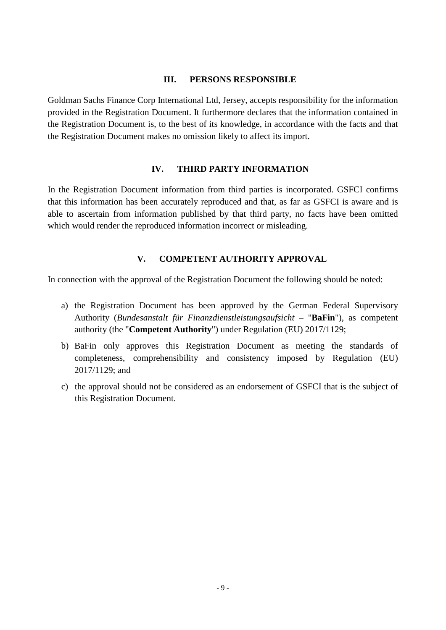#### <span id="page-8-0"></span>**III. PERSONS RESPONSIBLE**

Goldman Sachs Finance Corp International Ltd, Jersey, accepts responsibility for the information provided in the Registration Document. It furthermore declares that the information contained in the Registration Document is, to the best of its knowledge, in accordance with the facts and that the Registration Document makes no omission likely to affect its import.

## <span id="page-8-1"></span>**IV. THIRD PARTY INFORMATION**

In the Registration Document information from third parties is incorporated. GSFCI confirms that this information has been accurately reproduced and that, as far as GSFCI is aware and is able to ascertain from information published by that third party, no facts have been omitted which would render the reproduced information incorrect or misleading.

## <span id="page-8-2"></span>**V. COMPETENT AUTHORITY APPROVAL**

In connection with the approval of the Registration Document the following should be noted:

- a) the Registration Document has been approved by the German Federal Supervisory Authority (*Bundesanstalt für Finanzdienstleistungsaufsicht –* "**BaFin**"), as competent authority (the "**Competent Authority**") under Regulation (EU) 2017/1129;
- b) BaFin only approves this Registration Document as meeting the standards of completeness, comprehensibility and consistency imposed by Regulation (EU) 2017/1129; and
- c) the approval should not be considered as an endorsement of GSFCI that is the subject of this Registration Document.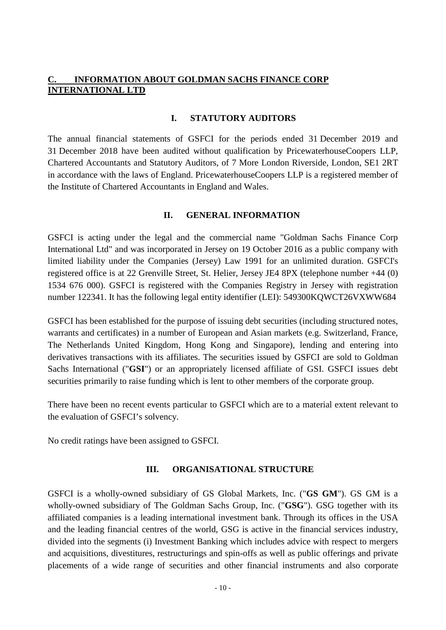## <span id="page-9-0"></span>**INFORMATION ABOUT GOLDMAN SACHS FINANCE CORP INTERNATIONAL LTD**

#### <span id="page-9-1"></span>**I. STATUTORY AUDITORS**

The annual financial statements of GSFCI for the periods ended 31 December 2019 and 31 December 2018 have been audited without qualification by PricewaterhouseCoopers LLP, Chartered Accountants and Statutory Auditors, of 7 More London Riverside, London, SE1 2RT in accordance with the laws of England. PricewaterhouseCoopers LLP is a registered member of the Institute of Chartered Accountants in England and Wales.

#### <span id="page-9-2"></span>**II. GENERAL INFORMATION**

GSFCI is acting under the legal and the commercial name "Goldman Sachs Finance Corp International Ltd" and was incorporated in Jersey on 19 October 2016 as a public company with limited liability under the Companies (Jersey) Law 1991 for an unlimited duration. GSFCI's registered office is at 22 Grenville Street, St. Helier, Jersey JE4 8PX (telephone number +44 (0) 1534 676 000). GSFCI is registered with the Companies Registry in Jersey with registration number 122341. It has the following legal entity identifier (LEI): 549300KQWCT26VXWW684

GSFCI has been established for the purpose of issuing debt securities (including structured notes, warrants and certificates) in a number of European and Asian markets (e.g. Switzerland, France, The Netherlands United Kingdom, Hong Kong and Singapore), lending and entering into derivatives transactions with its affiliates. The securities issued by GSFCI are sold to Goldman Sachs International ("**GSI**") or an appropriately licensed affiliate of GSI. GSFCI issues debt securities primarily to raise funding which is lent to other members of the corporate group.

There have been no recent events particular to GSFCI which are to a material extent relevant to the evaluation of GSFCI's solvency.

No credit ratings have been assigned to GSFCI.

#### <span id="page-9-3"></span>**III. ORGANISATIONAL STRUCTURE**

GSFCI is a wholly-owned subsidiary of GS Global Markets, Inc. ("**GS GM**"). GS GM is a wholly-owned subsidiary of The Goldman Sachs Group, Inc. ("**GSG**"). GSG together with its affiliated companies is a leading international investment bank. Through its offices in the USA and the leading financial centres of the world, GSG is active in the financial services industry, divided into the segments (i) Investment Banking which includes advice with respect to mergers and acquisitions, divestitures, restructurings and spin-offs as well as public offerings and private placements of a wide range of securities and other financial instruments and also corporate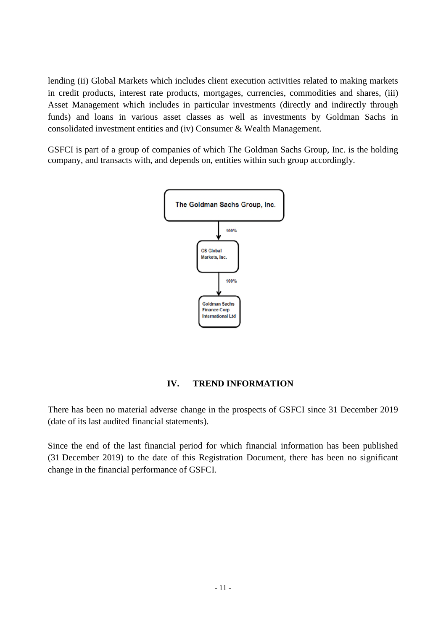lending (ii) Global Markets which includes client execution activities related to making markets in credit products, interest rate products, mortgages, currencies, commodities and shares, (iii) Asset Management which includes in particular investments (directly and indirectly through funds) and loans in various asset classes as well as investments by Goldman Sachs in consolidated investment entities and (iv) Consumer & Wealth Management.

GSFCI is part of a group of companies of which The Goldman Sachs Group, Inc. is the holding company, and transacts with, and depends on, entities within such group accordingly.



## <span id="page-10-0"></span>**IV. TREND INFORMATION**

There has been no material adverse change in the prospects of GSFCI since 31 December 2019 (date of its last audited financial statements).

Since the end of the last financial period for which financial information has been published (31 December 2019) to the date of this Registration Document, there has been no significant change in the financial performance of GSFCI.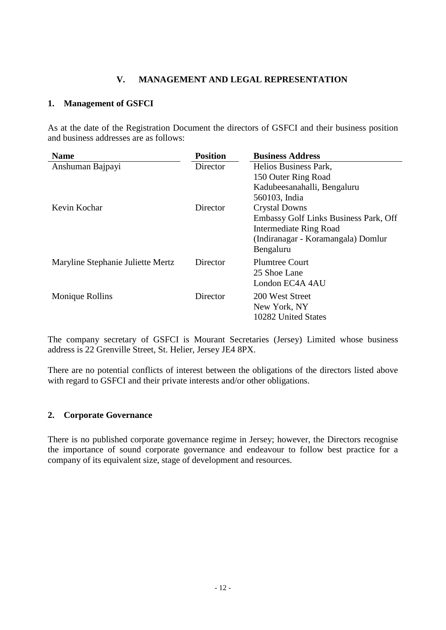## <span id="page-11-0"></span>**V. MANAGEMENT AND LEGAL REPRESENTATION**

## <span id="page-11-1"></span>**1. Management of GSFCI**

As at the date of the Registration Document the directors of GSFCI and their business position and business addresses are as follows:

| <b>Name</b>                       | <b>Position</b> | <b>Business Address</b>               |  |
|-----------------------------------|-----------------|---------------------------------------|--|
| Anshuman Bajpayi                  | Director        | Helios Business Park,                 |  |
|                                   |                 | 150 Outer Ring Road                   |  |
|                                   |                 | Kadubeesanahalli, Bengaluru           |  |
|                                   |                 | 560103, India                         |  |
| Kevin Kochar                      | Director        | <b>Crystal Downs</b>                  |  |
|                                   |                 | Embassy Golf Links Business Park, Off |  |
|                                   |                 | <b>Intermediate Ring Road</b>         |  |
|                                   |                 | (Indiranagar - Koramangala) Domlur    |  |
|                                   |                 | Bengaluru                             |  |
| Maryline Stephanie Juliette Mertz | Director        | <b>Plumtree Court</b>                 |  |
|                                   |                 | 25 Shoe Lane                          |  |
|                                   |                 | London EC4A 4AU                       |  |
| Monique Rollins                   | Director        | 200 West Street                       |  |
|                                   |                 | New York, NY                          |  |
|                                   |                 | 10282 United States                   |  |
|                                   |                 |                                       |  |

The company secretary of GSFCI is Mourant Secretaries (Jersey) Limited whose business address is 22 Grenville Street, St. Helier, Jersey JE4 8PX.

There are no potential conflicts of interest between the obligations of the directors listed above with regard to GSFCI and their private interests and/or other obligations.

#### <span id="page-11-2"></span>**2. Corporate Governance**

There is no published corporate governance regime in Jersey; however, the Directors recognise the importance of sound corporate governance and endeavour to follow best practice for a company of its equivalent size, stage of development and resources.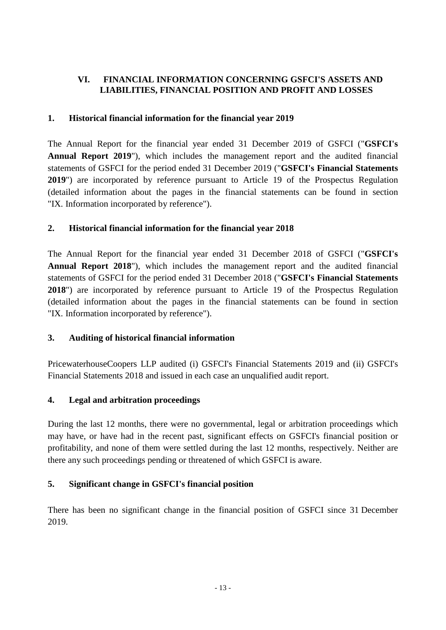## <span id="page-12-0"></span>**VI. FINANCIAL INFORMATION CONCERNING GSFCI'S ASSETS AND LIABILITIES, FINANCIAL POSITION AND PROFIT AND LOSSES**

## <span id="page-12-1"></span>**1. Historical financial information for the financial year 2019**

<span id="page-12-6"></span>The Annual Report for the financial year ended 31 December 2019 of GSFCI ("**GSFCI's Annual Report 2019**"), which includes the management report and the audited financial statements of GSFCI for the period ended 31 December 2019 ("**GSFCI's Financial Statements 2019**") are incorporated by reference pursuant to Article 19 of the Prospectus Regulation (detailed information about the pages in the financial statements can be found in section "IX. Information incorporated by reference").

## <span id="page-12-2"></span>**2. Historical financial information for the financial year 2018**

The Annual Report for the financial year ended 31 December 2018 of GSFCI ("**GSFCI's Annual Report 2018**"), which includes the management report and the audited financial statements of GSFCI for the period ended 31 December 2018 ("**GSFCI's Financial Statements 2018**") are incorporated by reference pursuant to Article 19 of the Prospectus Regulation (detailed information about the pages in the financial statements can be found in section "IX. Information incorporated by reference").

## <span id="page-12-3"></span>**3. Auditing of historical financial information**

PricewaterhouseCoopers LLP audited (i) GSFCI's Financial Statements 2019 and (ii) GSFCI's Financial Statements 2018 and issued in each case an unqualified audit report.

## <span id="page-12-4"></span>**4. Legal and arbitration proceedings**

During the last 12 months, there were no governmental, legal or arbitration proceedings which may have, or have had in the recent past, significant effects on GSFCI's financial position or profitability, and none of them were settled during the last 12 months, respectively. Neither are there any such proceedings pending or threatened of which GSFCI is aware.

## <span id="page-12-5"></span>**5. Significant change in GSFCI's financial position**

There has been no significant change in the financial position of GSFCI since 31 December 2019.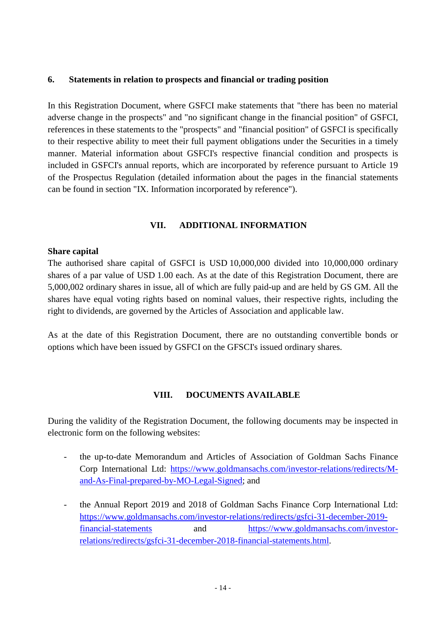## <span id="page-13-0"></span>**6. Statements in relation to prospects and financial or trading position**

In this Registration Document, where GSFCI make statements that "there has been no material adverse change in the prospects" and "no significant change in the financial position" of GSFCI, references in these statements to the "prospects" and "financial position" of GSFCI is specifically to their respective ability to meet their full payment obligations under the Securities in a timely manner. Material information about GSFCI's respective financial condition and prospects is included in GSFCI's annual reports, which are incorporated by reference pursuant to Article 19 of the Prospectus Regulation (detailed information about the pages in the financial statements can be found in section "IX. Information incorporated by reference").

## <span id="page-13-1"></span>**VII. ADDITIONAL INFORMATION**

#### **Share capital**

The authorised share capital of GSFCI is USD 10,000,000 divided into 10,000,000 ordinary shares of a par value of USD 1.00 each. As at the date of this Registration Document, there are 5,000,002 ordinary shares in issue, all of which are fully paid-up and are held by GS GM. All the shares have equal voting rights based on nominal values, their respective rights, including the right to dividends, are governed by the Articles of Association and applicable law.

As at the date of this Registration Document, there are no outstanding convertible bonds or options which have been issued by GSFCI on the GFSCI's issued ordinary shares.

## <span id="page-13-2"></span>**VIII. DOCUMENTS AVAILABLE**

During the validity of the Registration Document, the following documents may be inspected in electronic form on the following websites:

- the up-to-date Memorandum and Articles of Association of Goldman Sachs Finance Corp International Ltd: [https://www.goldmansachs.com/investor-relations/redirects/M](https://www.goldmansachs.com/investor-relations/redirects/M-and-As-Final-prepared-by-MO-Legal-Signed)[and-As-Final-prepared-by-MO-Legal-Signed; and](https://www.goldmansachs.com/investor-relations/redirects/M-and-As-Final-prepared-by-MO-Legal-Signed)
- the Annual Report 2019 and 2018 of Goldman Sachs Finance Corp International Ltd: [https://www.goldmansachs.com/investor-relations/redirects/gsfci-31-december-2019](https://www.goldmansachs.com/investor-relations/redirects/gsfci-31-december-2019-financial-statements) financial-statements [and https://www.goldmansachs.com/investor](https://www.goldmansachs.com/investor-relations/redirects/gsfci-31-december-2019-financial-statements)[relations/redirects/gsfci-31-december-2018-financial-statements.html.](https://www.goldmansachs.com/investor-relations/redirects/gsfci-31-december-2018-financial-statements.html)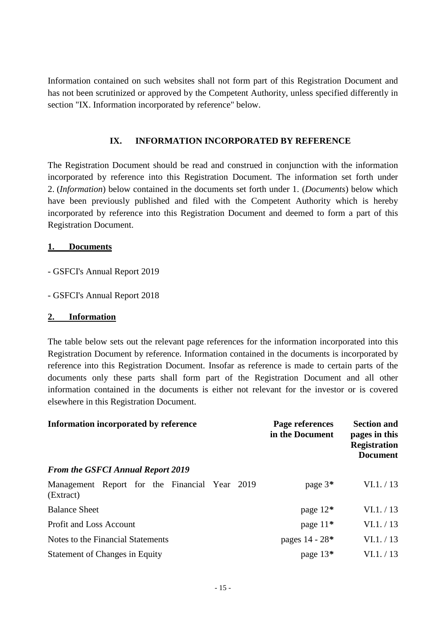Information contained on such websites shall not form part of this Registration Document and has not been scrutinized or approved by the Competent Authority, unless specified differently in section "IX. Information incorporated by reference" below.

## <span id="page-14-0"></span>**IX. INFORMATION INCORPORATED BY REFERENCE**

The Registration Document should be read and construed in conjunction with the information incorporated by reference into this Registration Document. The information set forth under 2. (*Information*) below contained in the documents set forth under 1. (*Documents*) below which have been previously published and filed with the Competent Authority which is hereby incorporated by reference into this Registration Document and deemed to form a part of this Registration Document.

#### **1. Documents**

- GSFCI's Annual Report 2019
- GSFCI's Annual Report 2018

#### **2. Information**

The table below sets out the relevant page references for the information incorporated into this Registration Document by reference. Information contained in the documents is incorporated by reference into this Registration Document. Insofar as reference is made to certain parts of the documents only these parts shall form part of the Registration Document and all other information contained in the documents is either not relevant for the investor or is covered elsewhere in this Registration Document.

| Information incorporated by reference                      | Page references<br>in the Document | <b>Section and</b><br>pages in this<br><b>Registration</b><br><b>Document</b> |
|------------------------------------------------------------|------------------------------------|-------------------------------------------------------------------------------|
| <b>From the GSFCI Annual Report 2019</b>                   |                                    |                                                                               |
| Management Report for the Financial Year 2019<br>(Extract) | page $3*$                          | VI.1. / 13                                                                    |
| <b>Balance Sheet</b>                                       | page $12*$                         | VI.1. / 13                                                                    |
| <b>Profit and Loss Account</b>                             | page $11*$                         | VI.1. / 13                                                                    |
| Notes to the Financial Statements                          | pages 14 - 28*                     | VI.1. / 13                                                                    |
| <b>Statement of Changes in Equity</b>                      | page 13*                           | VI.1. / 13                                                                    |